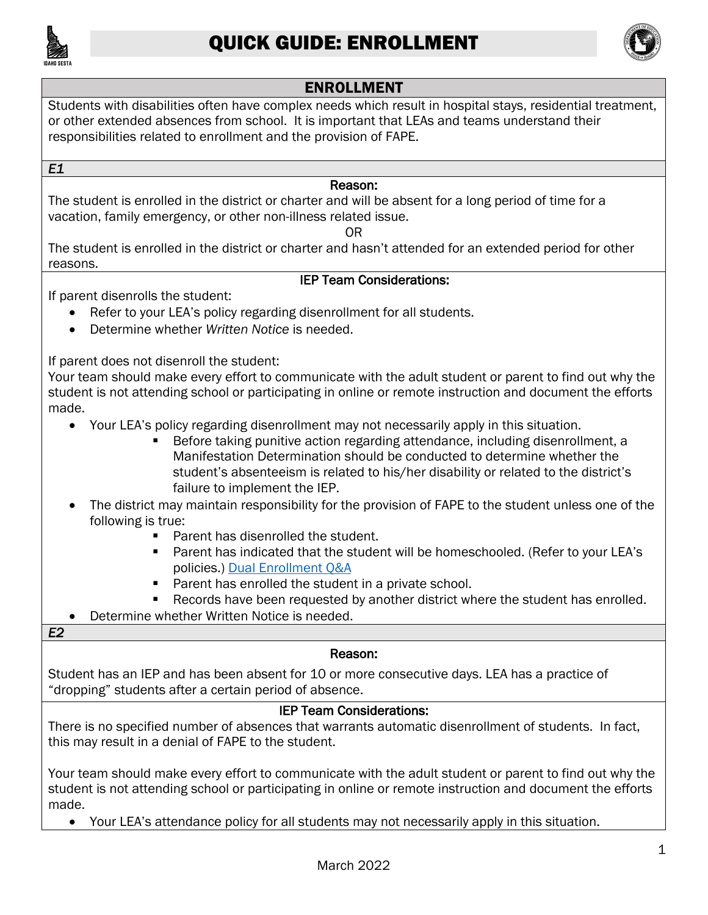



## ENROLLMENT

 or other extended absences from school. It is important that LEAs and teams understand their responsibilities related to enrollment and the provision of FAPE. Students with disabilities often have complex needs which result in hospital stays, residential treatment,

*E1* 

#### Reason:

 The student is enrolled in the district or charter and will be absent for a long period of time for a vacation, family emergency, or other non-illness related issue.

OR

 The student is enrolled in the district or charter and hasn't attended for an extended period for other reasons.

### IEP Team Considerations:

If parent disenrolls the student:

- Refer to your LEA's policy regarding disenrollment for all students.
- Determine whether *Written Notice* is needed.

If parent does not disenroll the student:

Your team should make every effort to communicate with the adult student or parent to find out why the student is not attending school or participating in online or remote instruction and document the efforts made.

- Your LEA's policy regarding disenrollment may not necessarily apply in this situation.
	- Before taking punitive action regarding attendance, including disenrollment, a Manifestation Determination should be conducted to determine whether the student's absenteeism is related to his/her disability or related to the district's failure to implement the IEP.
- The district may maintain responsibility for the provision of FAPE to the student unless one of the following is true:
	- Parent has disenrolled the student.
	- Parent has indicated that the student will be homeschooled. (Refer to your LEA's policies.) Dual Enrollment Q&A
	- Parent has enrolled the student in a private school.
	- Records have been requested by another district where the student has enrolled.
- Determine whether Written Notice is needed.

### *E2*

### Reason:

Student has an IEP and has been absent for 10 or more consecutive days. LEA has a practice of "dropping" students after a certain period of absence.

### IEP Team Considerations:

There is no specified number of absences that warrants automatic disenrollment of students. In fact, this may result in a denial of FAPE to the student.

Your team should make every effort to communicate with the adult student or parent to find out why the student is not attending school or participating in online or remote instruction and document the efforts made.

• Your LEA's attendance policy for all students may not necessarily apply in this situation.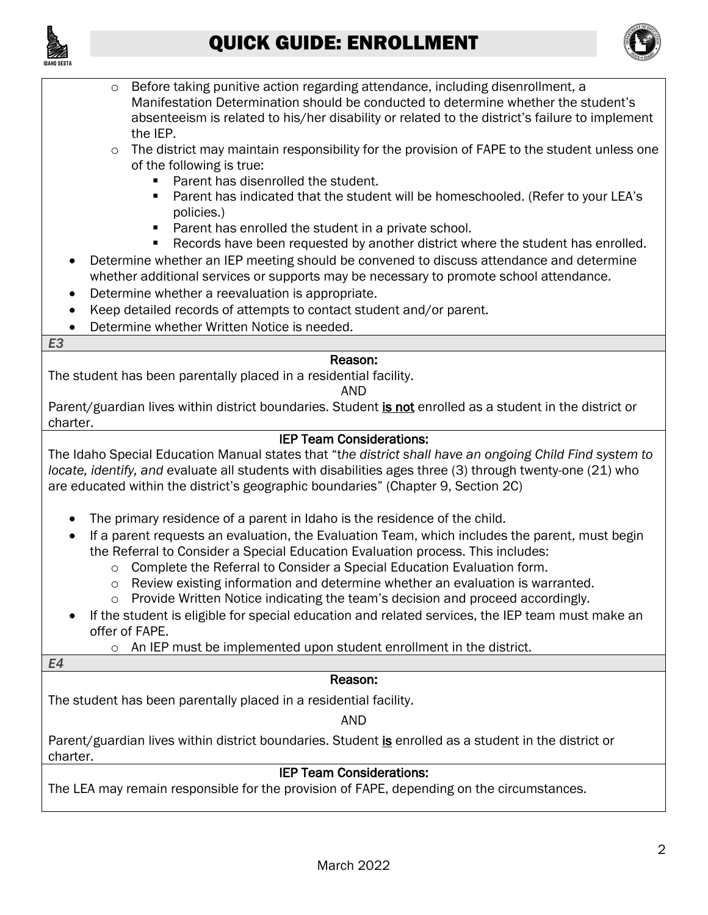



- $\circ$  Before taking punitive action regarding attendance, including disenrollment, a Manifestation Determination should be conducted to determine whether the student's absenteeism is related to his/her disability or related to the district's failure to implement the IEP.
- $\circ$  The district may maintain responsibility for the provision of FAPE to the student unless one of the following is true:
	- Parent has disenrolled the student.
	- Parent has indicated that the student will be homeschooled. (Refer to your LEA's policies.)
	- Parent has enrolled the student in a private school.
	- Records have been requested by another district where the student has enrolled.
- Determine whether an IEP meeting should be convened to discuss attendance and determine whether additional services or supports may be necessary to promote school attendance.
- Determine whether a reevaluation is appropriate.
- Keep detailed records of attempts to contact student and/or parent.
- Determine whether Written Notice is needed.

#### *E3*

### Reason:

The student has been parentally placed in a residential facility.

AND

Parent/guardian lives within district boundaries. Student is not enrolled as a student in the district or charter.

### IEP Team Considerations:

The Idaho Special Education Manual states that "t*he district shall have an ongoing Child Find system to locate, identify, and* evaluate all students with disabilities ages three (3) through twenty-one (21) who are educated within the district's geographic boundaries" (Chapter 9, Section 2C)

- The primary residence of a parent in Idaho is the residence of the child.
- If a parent requests an evaluation, the Evaluation Team, which includes the parent, must begin the Referral to Consider a Special Education Evaluation process. This includes:
	- $\circ$  Complete the Referral to Consider a Special Education Evaluation form.
	- $\circ$  Review existing information and determine whether an evaluation is warranted.
	- $\circ$  Provide Written Notice indicating the team's decision and proceed accordingly.
- If the student is eligible for special education and related services, the IEP team must make an offer of FAPE.
	- o An IEP must be implemented upon student enrollment in the district.

#### *E4*

### Reason:

The student has been parentally placed in a residential facility.

AND

Parent/guardian lives within district boundaries. Student is enrolled as a student in the district or charter. charter. **IEP Team Considerations:** 

The LEA may remain responsible for the provision of FAPE, depending on the circumstances.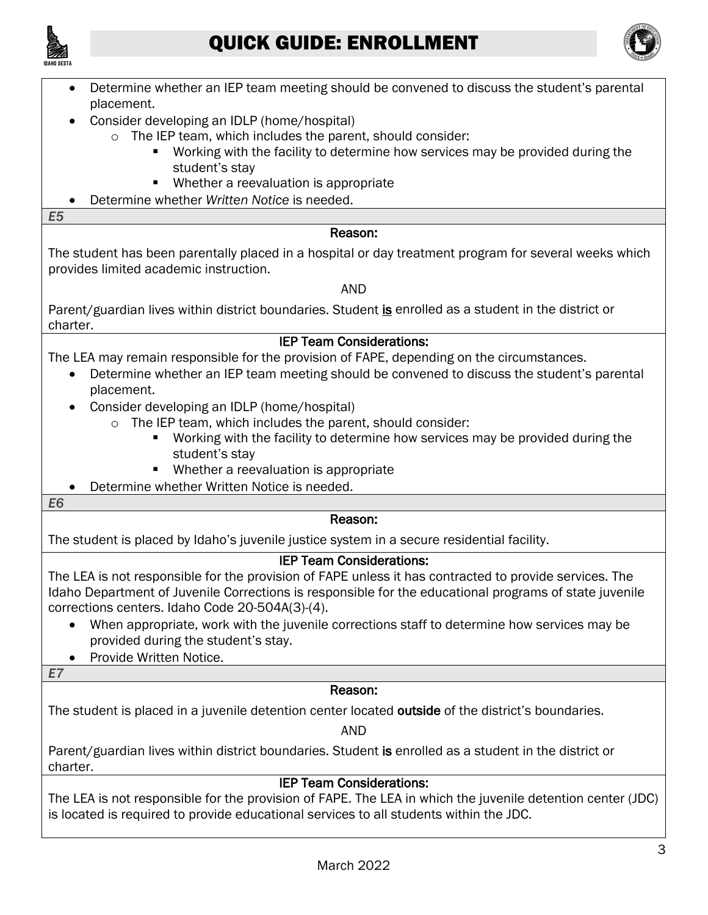



- Determine whether an IEP team meeting should be convened to discuss the student's parental placement.
- Consider developing an IDLP (home/hospital)
	- o The IEP team, which includes the parent, should consider:
		- Working with the facility to determine how services may be provided during the student's stay
		- Whether a reevaluation is appropriate
- Determine whether *Written Notice* is needed.

*E5* 

#### Reason:

 provides limited academic instruction. AND The student has been parentally placed in a hospital or day treatment program for several weeks which

Parent/guardian lives within district boundaries. Student is enrolled as a student in the district or charter. charter. **IEP Team Considerations:** 

The LEA may remain responsible for the provision of FAPE, depending on the circumstances.

- Determine whether an IEP team meeting should be convened to discuss the student's parental placement.
- Consider developing an IDLP (home/hospital)
	- o The IEP team, which includes the parent, should consider:
		- Working with the facility to determine how services may be provided during the student's stay
		- Whether a reevaluation is appropriate
- Determine whether Written Notice is needed.

*E6* 

#### Reason:

The student is placed by Idaho's juvenile justice system in a secure residential facility.

### IEP Team Considerations:

The LEA is not responsible for the provision of FAPE unless it has contracted to provide services. The Idaho Department of Juvenile Corrections is responsible for the educational programs of state juvenile corrections centers. Idaho Code 20-504A(3)-(4).

- When appropriate, work with the juvenile corrections staff to determine how services may be provided during the student's stay.
- Provide Written Notice.

*E7* 

### Reason:

The student is placed in a juvenile detention center located outside of the district's boundaries.

AND

Parent/guardian lives within district boundaries. Student is enrolled as a student in the district or charter. charter. **IEP Team Considerations:** 

 The LEA is not responsible for the provision of FAPE. The LEA in which the juvenile detention center (JDC) is located is required to provide educational services to all students within the JDC.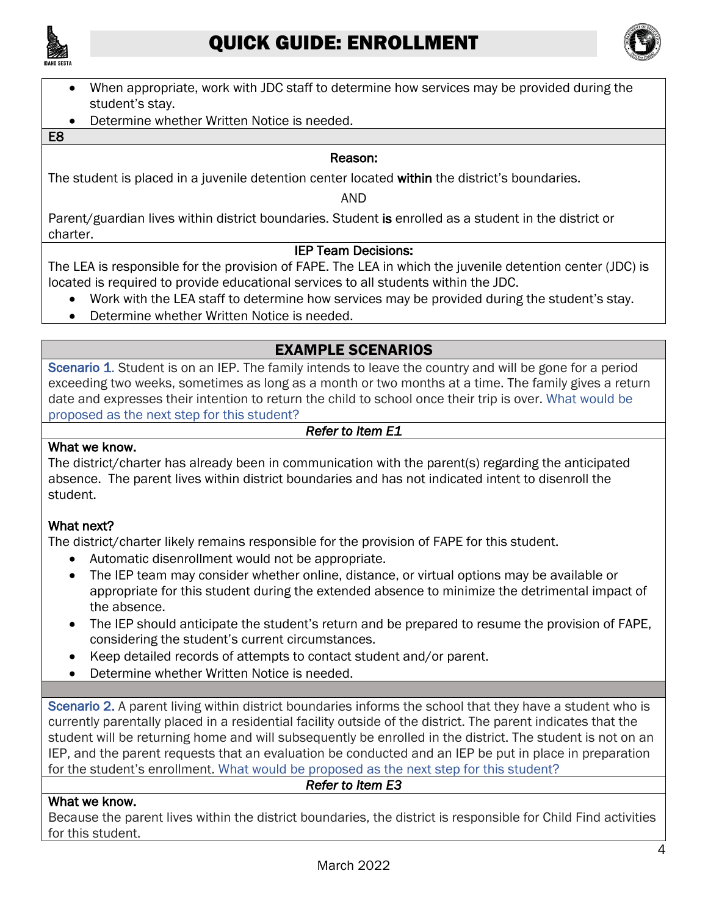



- When appropriate, work with JDC staff to determine how services may be provided during the student's stay.
- Determine whether Written Notice is needed.

#### E8

#### Reason:

The student is placed in a juvenile detention center located within the district's boundaries.

AND

Parent/guardian lives within district boundaries. Student is enrolled as a student in the district or charter. charter. **IEP Team Decisions:** 

 The LEA is responsible for the provision of FAPE. The LEA in which the juvenile detention center (JDC) is located is required to provide educational services to all students within the JDC.

- Work with the LEA staff to determine how services may be provided during the student's stay.
- Determine whether Written Notice is needed.

## EXAMPLE SCENARIOS

Scenario 1. Student is on an IEP. The family intends to leave the country and will be gone for a period exceeding two weeks, sometimes as long as a month or two months at a time. The family gives a return date and expresses their intention to return the child to school once their trip is over. What would be proposed as the next step for this student?

*Refer to Item E1* 

#### What we know.

The district/charter has already been in communication with the parent(s) regarding the anticipated absence. The parent lives within district boundaries and has not indicated intent to disenroll the student.

#### What next?

The district/charter likely remains responsible for the provision of FAPE for this student.

- Automatic disenrollment would not be appropriate.
- The IEP team may consider whether online, distance, or virtual options may be available or appropriate for this student during the extended absence to minimize the detrimental impact of the absence.
- The IEP should anticipate the student's return and be prepared to resume the provision of FAPE, considering the student's current circumstances.
- Keep detailed records of attempts to contact student and/or parent.
- Determine whether Written Notice is needed.

Scenario 2. A parent living within district boundaries informs the school that they have a student who is currently parentally placed in a residential facility outside of the district. The parent indicates that the student will be returning home and will subsequently be enrolled in the district. The student is not on an IEP, and the parent requests that an evaluation be conducted and an IEP be put in place in preparation for the student's enrollment. What would be proposed as the next step for this student?

#### *Refer to Item E3*

#### What we know.

Because the parent lives within the district boundaries, the district is responsible for Child Find activities for this student.